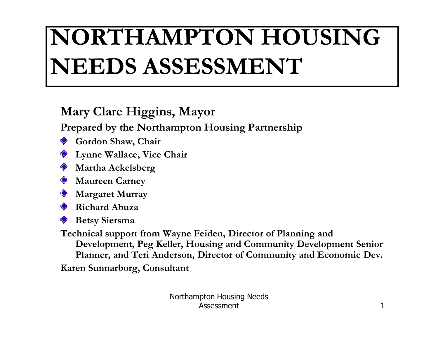## NORTHAMPTON HOUSING NEEDS ASSESSMENT

#### Mary Clare Higgins, Mayor

Prepared by the Northampton Housing Partnership

- ♦ Gordon Shaw, Chair
- Lynne Wallace, Vice Chair
- **Martha Ackelsberg**
- **Maureen Carney**
- Margaret Murray
- Richard Abuza
- Betsy Siersma

Technical support from Wayne Feiden, Director of Planning and Development, Peg Keller, Housing and Community Development Senior Planner, and Teri Anderson, Director of Community and Economic Dev.

Karen Sunnarborg, Consultant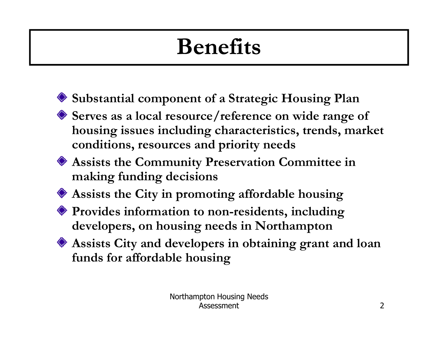## Benefits

- Substantial component of a Strategic Housing Plan
- Serves as a local resource/reference on wide range of housing issues including characteristics, trends, market conditions, resources and priority needs
- Assists the Community Preservation Committee in making funding decisions
- Assists the City in promoting affordable housing
- Provides information to non-residents, including developers, on housing needs in Northampton
- Assists City and developers in obtaining grant and loanfunds for affordable housing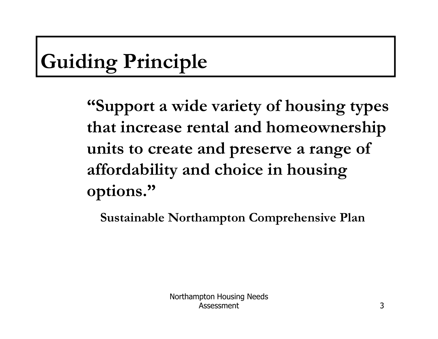#### Guiding Principle

"Support a wide variety of housing types that increase rental and homeownership units to create and preserve a range of affordability and choice in housing options."

Sustainable Northampton Comprehensive Plan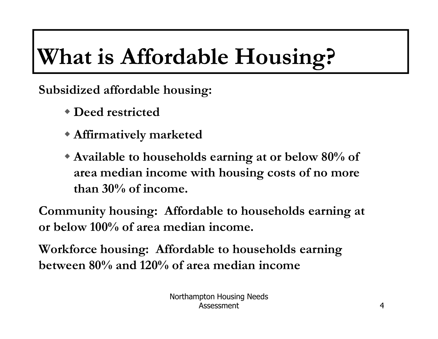## What is Affordable Housing?

Subsidized affordable housing:

- Deed restricted
- Affirmatively marketed
- Available to households earning at or below 80% of area median income with housing costs of no more than 30% of income.

Community housing: Affordable to households earning at or below 100% of area median income.

Workforce housing: Affordable to households earningbetween 80% and 120% of area median income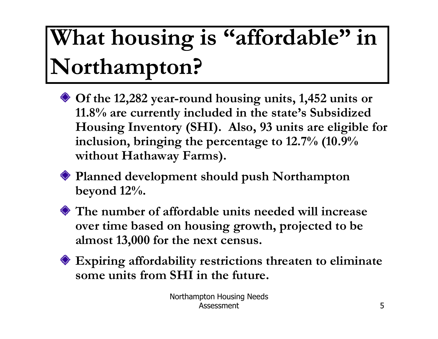## What housing is "affordable" in Northampton?

- Of the 12,282 year-round housing units, 1,452 units or 11.8% are currently included in the state's Subsidized Housing Inventory (SHI). Also, 93 units are eligible for inclusion, bringing the percentage to 12.7% (10.9% without Hathaway Farms).
- Planned development should push Northampton beyond 12%.
- The number of affordable units needed will increase over time based on housing growth, projected to be almost 13,000 for the next census.
- Expiring affordability restrictions threaten to eliminate some units from SHI in the future.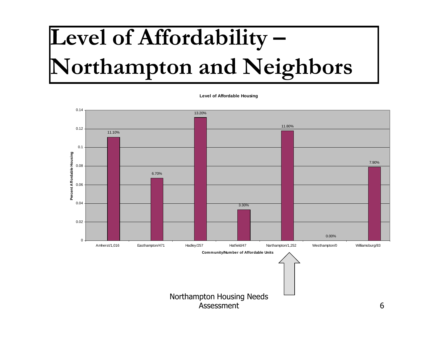## Level of Affordability –Northampton and Neighbors

**Level of Affordable Housing**

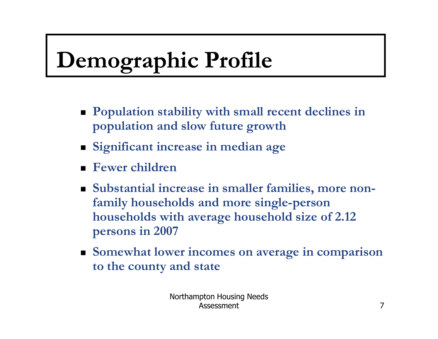## Demographic Profile

- **Population stability with small recent declines in** population and slow future growth
- Significant increase in median age
- -Fewer children
- Substantial increase in smaller families, more nonfamily households and more single-person households with average household size of 2.12 persons in 2007
- **Somewhat lower incomes on average in comparison** to the county and state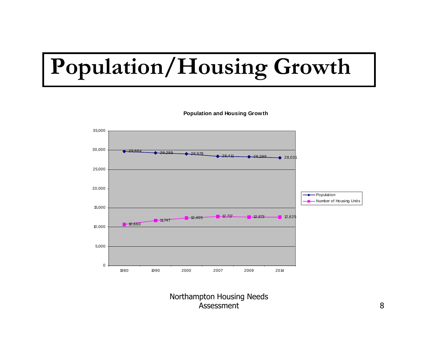## Population/Housing Growth

35,00030,00029,664 $29,289$  $-28,978$  $-28,411$  $28,299$  $\bullet$  28,03 25,00020,000Population┻ - Number of Housing Units 15,000**12,405 12,717 12,573 12,625** 12,625  $-11,747$  $-10,660$ 10,0005,00001980 1990 2000 2007 2009 2014

**Population and Housing Growth**

Northampton Housing Needs Assessment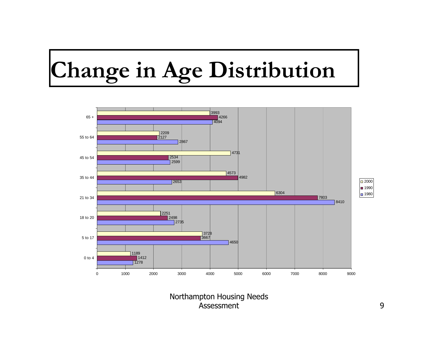## Change in Age Distribution



Northampton Housing Needs Assessment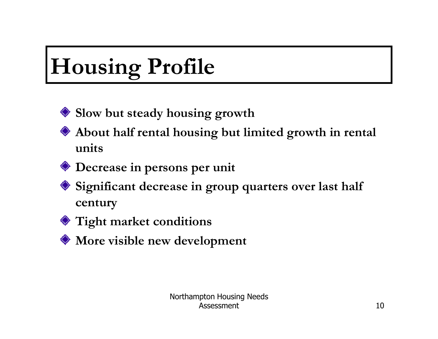## Housing Profile



- About half rental housing but limited growth in rental units
- Decrease in persons per unit
- ◆ Significant decrease in group quarters over last half century
- Tight market conditions
- More visible new development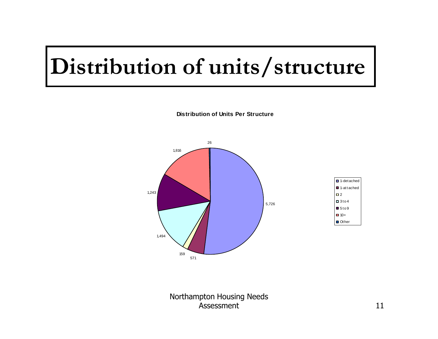#### Distribution of units/structure



**Distribution of Units Per Structure**

Northampton Housing Needs Assessmentt and  $11$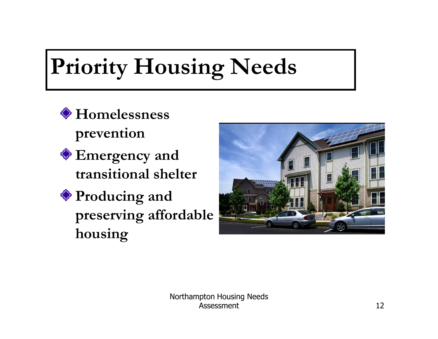## Priority Housing Needs

- Homelessness prevention
- Emergency and transitional shelter
- Producing and preserving affordable housing



Northampton Housing Needs Assessmentt  $12$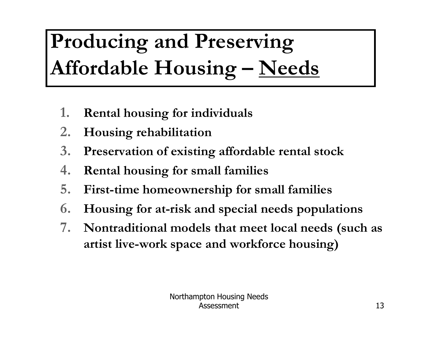### Producing and Preserving Affordable Housing - Needs

- 1.Rental housing for individuals
- 2.Housing rehabilitation
- 3.Preservation of existing affordable rental stock
- 4.Rental housing for small families
- 5.First-time homeownership for small families
- 6.Housing for at-risk and special needs populations
- 7. Nontraditional models that meet local needs (such as artist live-work space and workforce housing)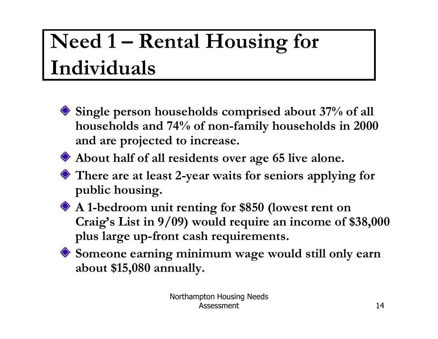#### Need 1 – Rental Housing for Individuals

- Single person households comprised about 37% of all households and 74% of non-family households in 2000and are projected to increase.
- About half of all residents over age 65 live alone.
- There are at least 2-year waits for seniors applying for public housing.
- A 1-bedroom unit renting for \$850 (lowest rent on Craig's List in 9/09) would require an income of \$38,000 plus large up-front cash requirements.
- Someone earning minimum wage would still only earn about \$15,080 annually.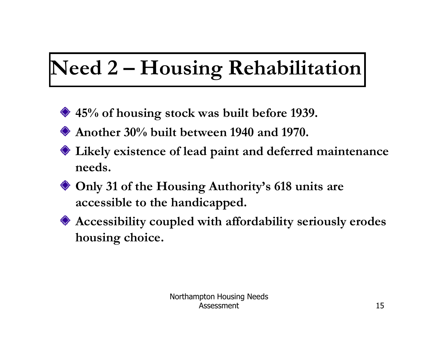### Need 2 – Housing Rehabilitation

- ◆ 45% of housing stock was built before 1939.
- Another 30% built between 1940 and 1970.
- Likely existence of lead paint and deferred maintenance needs.
- Only 31 of the Housing Authority's 618 units are accessible to the handicapped.
- Accessibility coupled with affordability seriously erodes housing choice.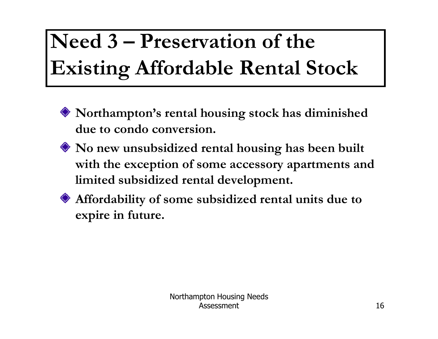### Need 3 – Preservation of the Existing Affordable Rental Stock

- Northampton's rental housing stock has diminished due to condo conversion.
- No new unsubsidized rental housing has been built with the exception of some accessory apartments and limited subsidized rental development.
- Affordability of some subsidized rental units due to expire in future.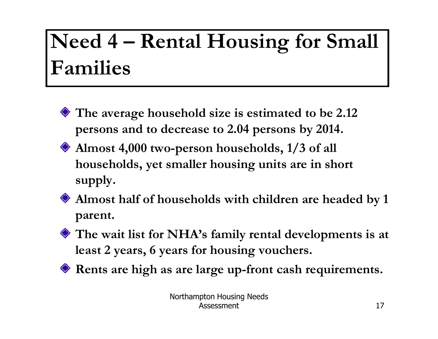#### Need 4 – Rental Housing for Small Families

- The average household size is estimated to be 2.12 persons and to decrease to 2.04 persons by 2014.
- Almost 4,000 two-person households, 1/3 of all households, yet smaller housing units are in short supply.
- Almost half of households with children are headed by 1 parent.
- The wait list for NHA's family rental developments is atleast 2 years, 6 years for housing vouchers.
- Rents are high as are large up-front cash requirements.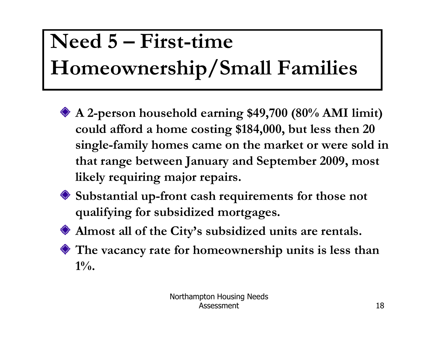### Need 5 – First-time Homeownership/Small Families

- A 2-person household earning \$49,700 (80% AMI limit) could afford a home costing \$184,000, but less then 20 single-family homes came on the market or were sold inthat range between January and September 2009, most likely requiring major repairs.
- Substantial up-front cash requirements for those not qualifying for subsidized mortgages.
- Almost all of the City's subsidized units are rentals.
- The vacancy rate for homeownership units is less than $1\%$ .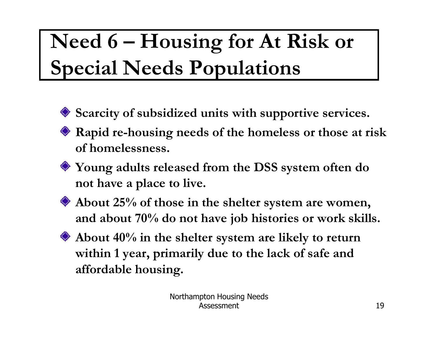#### Need  $6$  – Housing for At Risk or Special Needs Populations

- Scarcity of subsidized units with supportive services.
- Rapid re-housing needs of the homeless or those at risk of homelessness.
- Young adults released from the DSS system often do not have a place to live.
- 
- About 25% of those in the shelter system are women, and about 70% do not have job histories or work skills.
- 
- About 40% in the shelter system are likely to return within 1 year, primarily due to the lack of safe and affordable housing.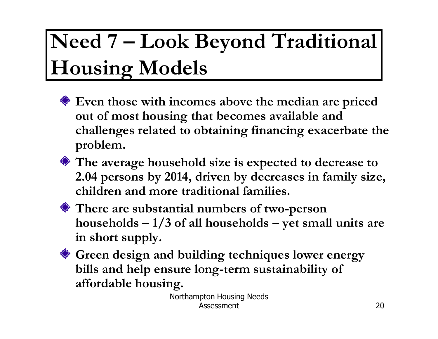#### Need 7 – Look Beyond Traditional Housing Models

- Even those with incomes above the median are priced out of most housing that becomes available and challenges related to obtaining financing exacerbate the problem.
- The average household size is expected to decrease to 2.04 persons by 2014, driven by decreases in family size, children and more traditional families.
- 

There are substantial numbers of two-person households  $-1/3$  of all households  $-$  yet small units are in short supply.

Green design and building techniques lower energy bills and help ensure long-term sustainability of affordable housing.

Northampton Housing Needs Assessmentt  $\sim$  20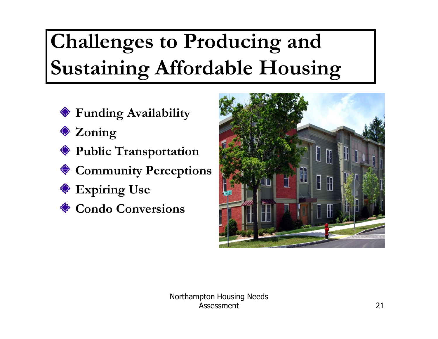#### Challenges to Producing and Sustaining Affordable Housing

- Funding Availability
- **◆ Zoning**
- Public Transportation
- Community Perceptions
- ◆ Expiring Use
- **♦ Condo Conversions**

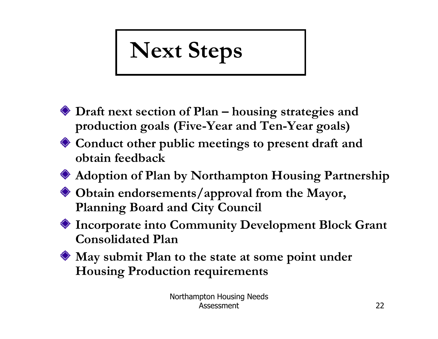# Next Steps

- Draft next section of Plan housing strategies and production goals (Five-Year and Ten-Year goals)
- Conduct other public meetings to present draft and obtain feedback
- Adoption of Plan by Northampton Housing Partnership
- Obtain endorsements/approval from the Mayor, Planning Board and City Council
- Incorporate into Community Development Block Grant Consolidated Plan
- May submit Plan to the state at some point under Housing Production requirements